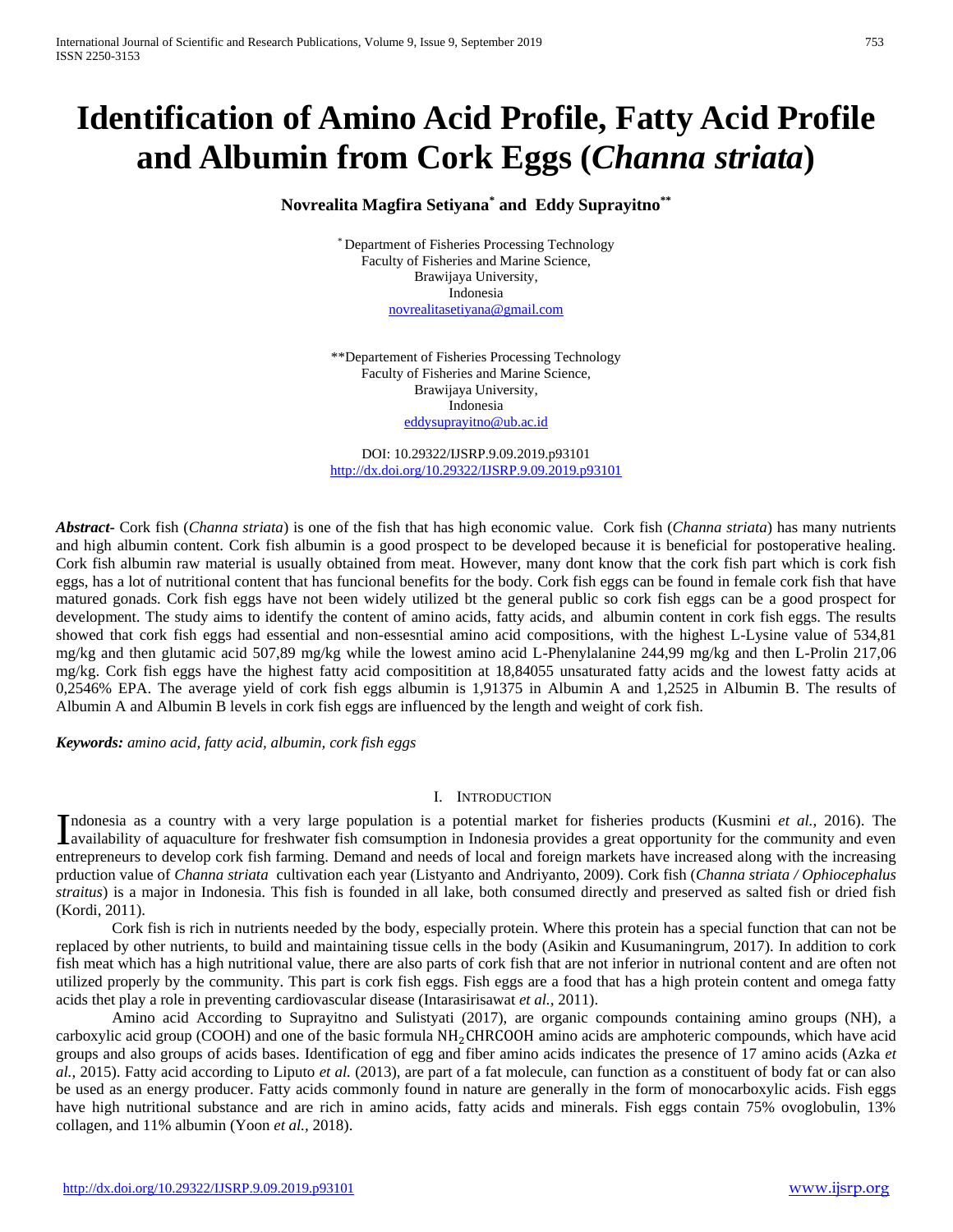# **Identification of Amino Acid Profile, Fatty Acid Profile and Albumin from Cork Eggs (***Channa striata***)**

# **Novrealita Magfira Setiyana\* and Eddy Suprayitno\*\***

\* Department of Fisheries Processing Technology Faculty of Fisheries and Marine Science, Brawijaya University, Indonesia [novrealitasetiyana@gmail.com](mailto:novrealitasetiyana@gmail.com)

\*\*Departement of Fisheries Processing Technology Faculty of Fisheries and Marine Science, Brawijaya University, Indonesia [eddysuprayitno@ub.ac.id](mailto:eddysuprayitno@ub.ac.id)

DOI: 10.29322/IJSRP.9.09.2019.p93101 <http://dx.doi.org/10.29322/IJSRP.9.09.2019.p93101>

*Abstract***-** Cork fish (*Channa striata*) is one of the fish that has high economic value. Cork fish (*Channa striata*) has many nutrients and high albumin content. Cork fish albumin is a good prospect to be developed because it is beneficial for postoperative healing. Cork fish albumin raw material is usually obtained from meat. However, many dont know that the cork fish part which is cork fish eggs, has a lot of nutritional content that has funcional benefits for the body. Cork fish eggs can be found in female cork fish that have matured gonads. Cork fish eggs have not been widely utilized bt the general public so cork fish eggs can be a good prospect for development. The study aims to identify the content of amino acids, fatty acids, and albumin content in cork fish eggs. The results showed that cork fish eggs had essential and non-essesntial amino acid compositions, with the highest L-Lysine value of 534,81 mg/kg and then glutamic acid 507,89 mg/kg while the lowest amino acid L-Phenylalanine 244,99 mg/kg and then L-Prolin 217,06 mg/kg. Cork fish eggs have the highest fatty acid compositition at 18,84055 unsaturated fatty acids and the lowest fatty acids at 0,2546% EPA. The average yield of cork fish eggs albumin is 1,91375 in Albumin A and 1,2525 in Albumin B. The results of Albumin A and Albumin B levels in cork fish eggs are influenced by the length and weight of cork fish.

*Keywords: amino acid, fatty acid, albumin, cork fish eggs*

## I. INTRODUCTION

ndonesia as a country with a very large population is a potential market for fisheries products (Kusmini *et al.,* 2016). The Indonesia as a country with a very large population is a potential market for fisheries products (Kusmini *et al.*, 2016). The availability of aquaculture for freshwater fish communition in Indonesia provides a great oppo entrepreneurs to develop cork fish farming. Demand and needs of local and foreign markets have increased along with the increasing prduction value of *Channa striata* cultivation each year (Listyanto and Andriyanto, 2009). Cork fish (*Channa striata / Ophiocephalus straitus*) is a major in Indonesia. This fish is founded in all lake, both consumed directly and preserved as salted fish or dried fish (Kordi, 2011).

Cork fish is rich in nutrients needed by the body, especially protein. Where this protein has a special function that can not be replaced by other nutrients, to build and maintaining tissue cells in the body (Asikin and Kusumaningrum, 2017). In addition to cork fish meat which has a high nutritional value, there are also parts of cork fish that are not inferior in nutrional content and are often not utilized properly by the community. This part is cork fish eggs. Fish eggs are a food that has a high protein content and omega fatty acids thet play a role in preventing cardiovascular disease (Intarasirisawat *et al.,* 2011).

Amino acid According to Suprayitno and Sulistyati (2017), are organic compounds containing amino groups (NH), a carboxylic acid group (COOH) and one of the basic formula  $NH<sub>2</sub>CHRCOOH$  amino acids are amphoteric compounds, which have acid groups and also groups of acids bases. Identification of egg and fiber amino acids indicates the presence of 17 amino acids (Azka *et al.,* 2015). Fatty acid according to Liputo *et al.* (2013), are part of a fat molecule, can function as a constituent of body fat or can also be used as an energy producer. Fatty acids commonly found in nature are generally in the form of monocarboxylic acids. Fish eggs have high nutritional substance and are rich in amino acids, fatty acids and minerals. Fish eggs contain 75% ovoglobulin, 13% collagen, and 11% albumin (Yoon *et al.,* 2018).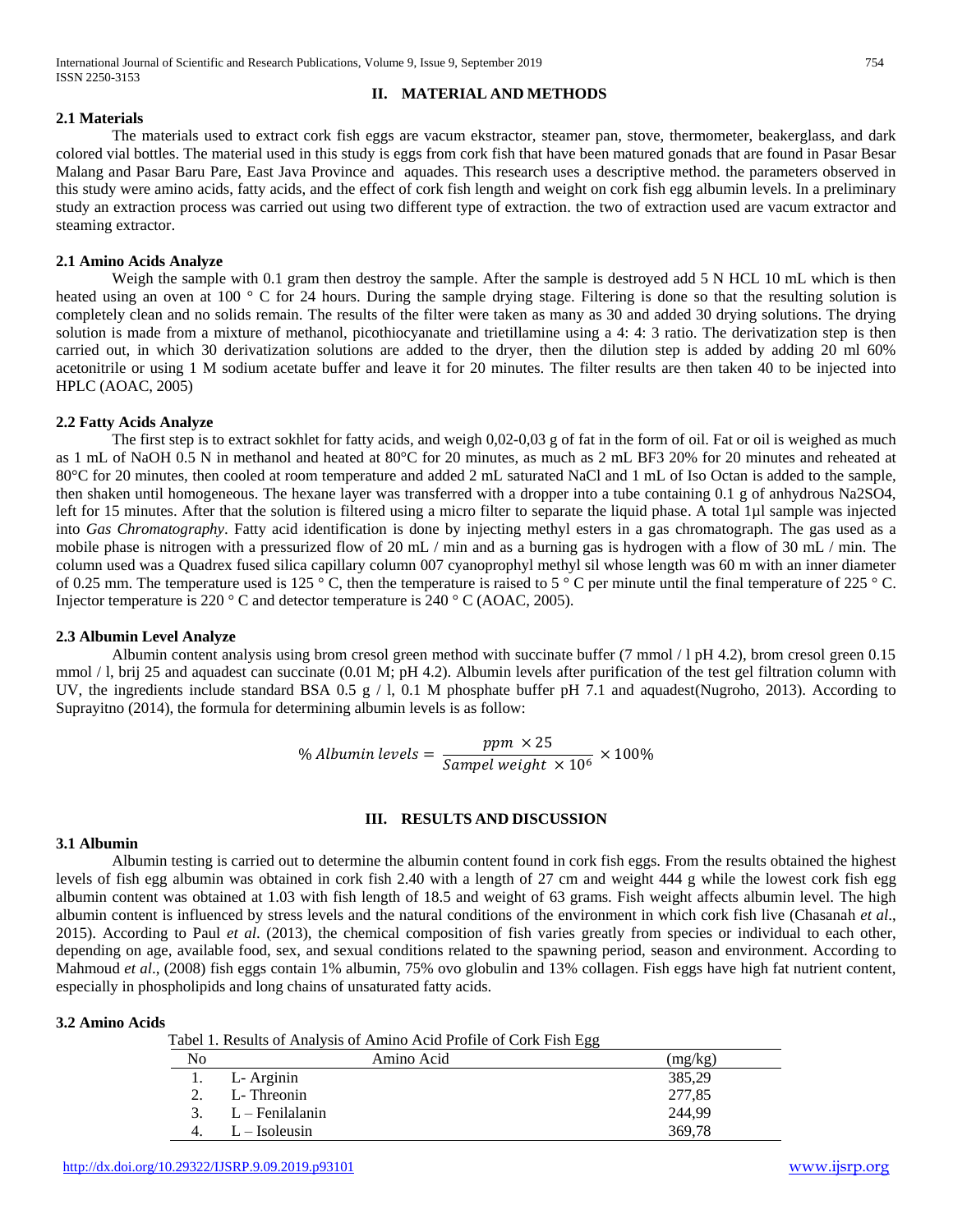# **II. MATERIAL AND METHODS**

#### **2.1 Materials**

The materials used to extract cork fish eggs are vacum ekstractor, steamer pan, stove, thermometer, beakerglass, and dark colored vial bottles. The material used in this study is eggs from cork fish that have been matured gonads that are found in Pasar Besar Malang and Pasar Baru Pare, East Java Province and aquades. This research uses a descriptive method. the parameters observed in this study were amino acids, fatty acids, and the effect of cork fish length and weight on cork fish egg albumin levels. In a preliminary study an extraction process was carried out using two different type of extraction. the two of extraction used are vacum extractor and steaming extractor.

#### **2.1 Amino Acids Analyze**

Weigh the sample with 0.1 gram then destroy the sample. After the sample is destroyed add 5 N HCL 10 mL which is then heated using an oven at 100 ° C for 24 hours. During the sample drying stage. Filtering is done so that the resulting solution is completely clean and no solids remain. The results of the filter were taken as many as 30 and added 30 drying solutions. The drying solution is made from a mixture of methanol, picothiocyanate and trietillamine using a 4: 4: 3 ratio. The derivatization step is then carried out, in which 30 derivatization solutions are added to the dryer, then the dilution step is added by adding 20 ml 60% acetonitrile or using 1 M sodium acetate buffer and leave it for 20 minutes. The filter results are then taken 40 to be injected into HPLC (AOAC, 2005)

#### **2.2 Fatty Acids Analyze**

The first step is to extract sokhlet for fatty acids, and weigh 0,02-0,03 g of fat in the form of oil. Fat or oil is weighed as much as 1 mL of NaOH 0.5 N in methanol and heated at 80°C for 20 minutes, as much as 2 mL BF3 20% for 20 minutes and reheated at 80°C for 20 minutes, then cooled at room temperature and added 2 mL saturated NaCl and 1 mL of Iso Octan is added to the sample, then shaken until homogeneous. The hexane layer was transferred with a dropper into a tube containing 0.1 g of anhydrous Na2SO4, left for 15 minutes. After that the solution is filtered using a micro filter to separate the liquid phase. A total 1µl sample was injected into *Gas Chromatography*. Fatty acid identification is done by injecting methyl esters in a gas chromatograph. The gas used as a mobile phase is nitrogen with a pressurized flow of 20 mL / min and as a burning gas is hydrogen with a flow of 30 mL / min. The column used was a Quadrex fused silica capillary column 007 cyanoprophyl methyl sil whose length was 60 m with an inner diameter of 0.25 mm. The temperature used is 125 ° C, then the temperature is raised to 5 ° C per minute until the final temperature of 225 ° C. Injector temperature is 220 ° C and detector temperature is 240 ° C (AOAC, 2005).

## **2.3 Albumin Level Analyze**

Albumin content analysis using brom cresol green method with succinate buffer (7 mmol / l pH 4.2), brom cresol green 0.15 mmol / l, brij 25 and aquadest can succinate (0.01 M; pH 4.2). Albumin levels after purification of the test gel filtration column with UV, the ingredients include standard BSA 0.5  $g / 1$ , 0.1 M phosphate buffer pH 7.1 and aquadest(Nugroho, 2013). According to Suprayitno (2014), the formula for determining albumin levels is as follow:

% Albumin levels = 
$$
\frac{ppm \times 25}{Sample weight \times 10^6} \times 100\%
$$

## **III. RESULTS AND DISCUSSION**

## **3.1 Albumin**

Albumin testing is carried out to determine the albumin content found in cork fish eggs. From the results obtained the highest levels of fish egg albumin was obtained in cork fish 2.40 with a length of 27 cm and weight 444 g while the lowest cork fish egg albumin content was obtained at 1.03 with fish length of 18.5 and weight of 63 grams. Fish weight affects albumin level. The high albumin content is influenced by stress levels and the natural conditions of the environment in which cork fish live (Chasanah *et al*., 2015). According to Paul *et al*. (2013), the chemical composition of fish varies greatly from species or individual to each other, depending on age, available food, sex, and sexual conditions related to the spawning period, season and environment. According to Mahmoud *et al.*, (2008) fish eggs contain 1% albumin, 75% ovo globulin and 13% collagen. Fish eggs have high fat nutrient content, especially in phospholipids and long chains of unsaturated fatty acids.

#### **3.2 Amino Acids**

Tabel 1. Results of Analysis of Amino Acid Profile of Cork Fish Egg

|    |                   | ັັ      |
|----|-------------------|---------|
| No | Amino Acid        | (mg/kg) |
|    | L-Arginin         | 385,29  |
|    | L-Threonin        | 277,85  |
|    | $L$ – Fenilalanin | 244,99  |
| 4. | $L - Isoleusin$   | 369,78  |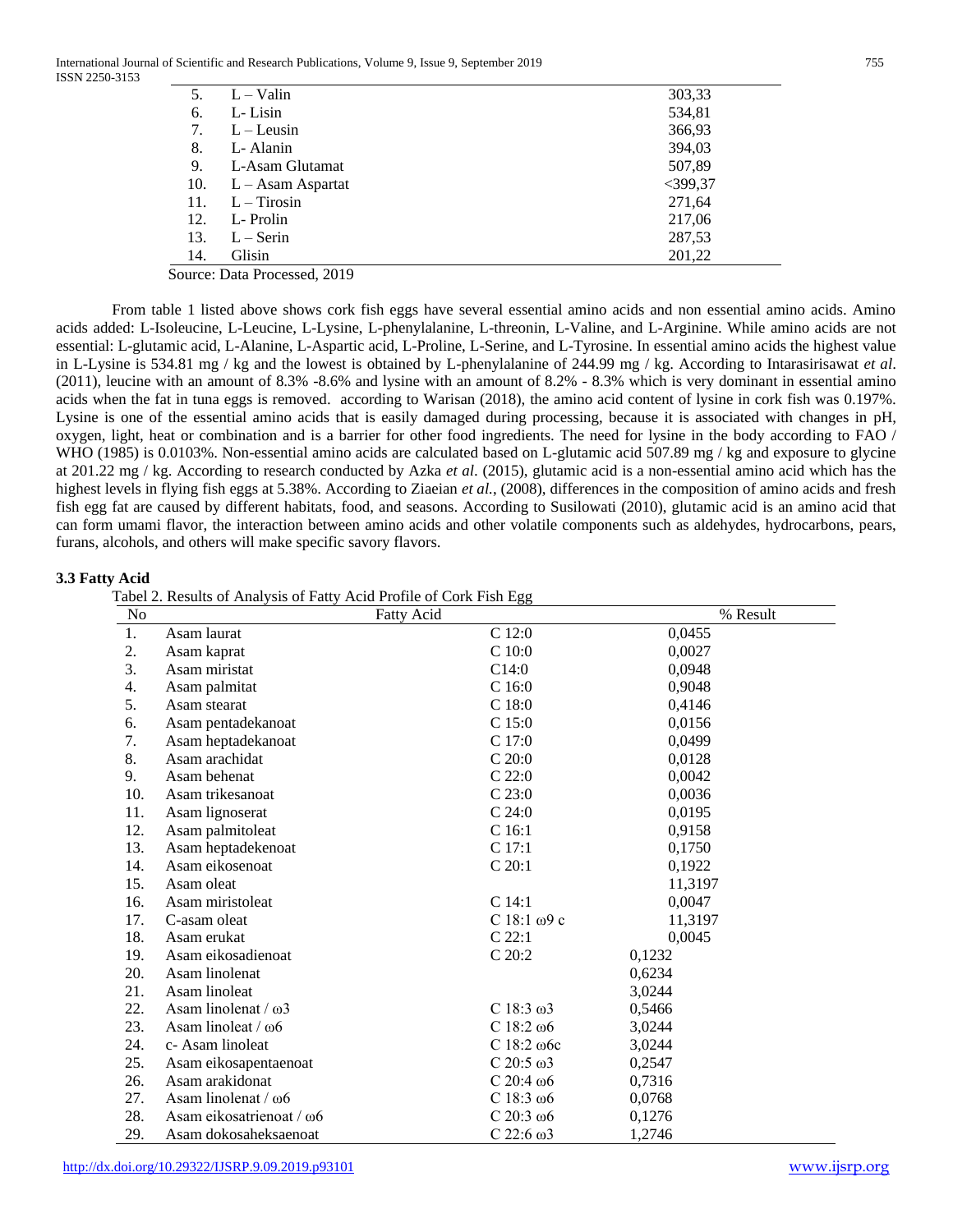International Journal of Scientific and Research Publications, Volume 9, Issue 9, September 2019 755 ISSN 2250-3153

| 5.  | $L - Valin$                         | 303,33     |
|-----|-------------------------------------|------------|
| 6.  | L-Lisin                             | 534,81     |
| 7.  | $L - Leusin$                        | 366,93     |
| 8.  | L-Alanin                            | 394,03     |
| 9.  | L-Asam Glutamat                     | 507,89     |
| 10. | $L - Asam Aspartat$                 | $<$ 399,37 |
| 11. | $L - Tirosin$                       | 271,64     |
| 12. | L-Prolin                            | 217,06     |
| 13. | $L -$ Serin                         | 287,53     |
| 14. | Glisin                              | 201,22     |
|     | 1.0010<br>$\mathbf{r}$ $\mathbf{r}$ |            |

Source: Data Processed, 2019

From table 1 listed above shows cork fish eggs have several essential amino acids and non essential amino acids. Amino acids added: L-Isoleucine, L-Leucine, L-Lysine, L-phenylalanine, L-threonin, L-Valine, and L-Arginine. While amino acids are not essential: L-glutamic acid, L-Alanine, L-Aspartic acid, L-Proline, L-Serine, and L-Tyrosine. In essential amino acids the highest value in L-Lysine is 534.81 mg / kg and the lowest is obtained by L-phenylalanine of 244.99 mg / kg. According to Intarasirisawat *et al*. (2011), leucine with an amount of 8.3% -8.6% and lysine with an amount of 8.2% - 8.3% which is very dominant in essential amino acids when the fat in tuna eggs is removed. according to Warisan (2018), the amino acid content of lysine in cork fish was 0.197%. Lysine is one of the essential amino acids that is easily damaged during processing, because it is associated with changes in pH, oxygen, light, heat or combination and is a barrier for other food ingredients. The need for lysine in the body according to FAO / WHO (1985) is 0.0103%. Non-essential amino acids are calculated based on L-glutamic acid 507.89 mg / kg and exposure to glycine at 201.22 mg / kg. According to research conducted by Azka *et al*. (2015), glutamic acid is a non-essential amino acid which has the highest levels in flying fish eggs at 5.38%. According to Ziaeian *et al.*, (2008), differences in the composition of amino acids and fresh fish egg fat are caused by different habitats, food, and seasons. According to Susilowati (2010), glutamic acid is an amino acid that can form umami flavor, the interaction between amino acids and other volatile components such as aldehydes, hydrocarbons, pears, furans, alcohols, and others will make specific savory flavors.

# **3.3 Fatty Acid**

Tabel 2. Results of Analysis of Fatty Acid Profile of Cork Fish Egg

| No  |                             | Fatty Acid          | % Result |
|-----|-----------------------------|---------------------|----------|
| 1.  | Asam laurat                 | $C$ 12:0            | 0,0455   |
| 2.  | Asam kaprat                 | $C$ 10:0            | 0,0027   |
| 3.  | Asam miristat               | C14:0               | 0,0948   |
| 4.  | Asam palmitat               | C <sub>16:0</sub>   | 0,9048   |
| 5.  | Asam stearat                | C <sub>18:0</sub>   | 0,4146   |
| 6.  | Asam pentadekanoat          | $C$ 15:0            | 0,0156   |
| 7.  | Asam heptadekanoat          | $C$ 17:0            | 0,0499   |
| 8.  | Asam arachidat              | C 20:0              | 0,0128   |
| 9.  | Asam behenat                | C 22:0              | 0,0042   |
| 10. | Asam trikesanoat            | C23:0               | 0,0036   |
| 11. | Asam lignoserat             | C24:0               | 0,0195   |
| 12. | Asam palmitoleat            | C <sub>16:1</sub>   | 0,9158   |
| 13. | Asam heptadekenoat          | C 17:1              | 0,1750   |
| 14. | Asam eikosenoat             | C 20:1              | 0,1922   |
| 15. | Asam oleat                  |                     | 11,3197  |
| 16. | Asam miristoleat            | $C$ 14:1            | 0,0047   |
| 17. | C-asam oleat                | C 18:1 $\omega$ 9 c | 11,3197  |
| 18. | Asam erukat                 | C 22:1              | 0,0045   |
| 19. | Asam eikosadienoat          | C 20:2              | 0,1232   |
| 20. | Asam linolenat              |                     | 0,6234   |
| 21. | Asam linoleat               |                     | 3,0244   |
| 22. | Asam linolenat / $\omega$ 3 | C $18:3\omega3$     | 0,5466   |
| 23. | Asam linoleat / $\omega$ 6  | C $18:2\omega$      | 3,0244   |
| 24. | c- Asam linoleat            | C $18:2 \omega$     | 3,0244   |
| 25. | Asam eikosapentaenoat       | C $20:5 \omega3$    | 0,2547   |
| 26. | Asam arakidonat             | C 20:4 $\omega$ 6   | 0,7316   |
| 27. | Asam linolenat / $\omega$ 6 | C $18:3\omega$      | 0,0768   |
| 28. | Asam eikosatrienoat / ω6    | $C$ 20:3 $\omega$ 6 | 0,1276   |
| 29. | Asam dokosaheksaenoat       | $C$ 22:6 $\omega$ 3 | 1,2746   |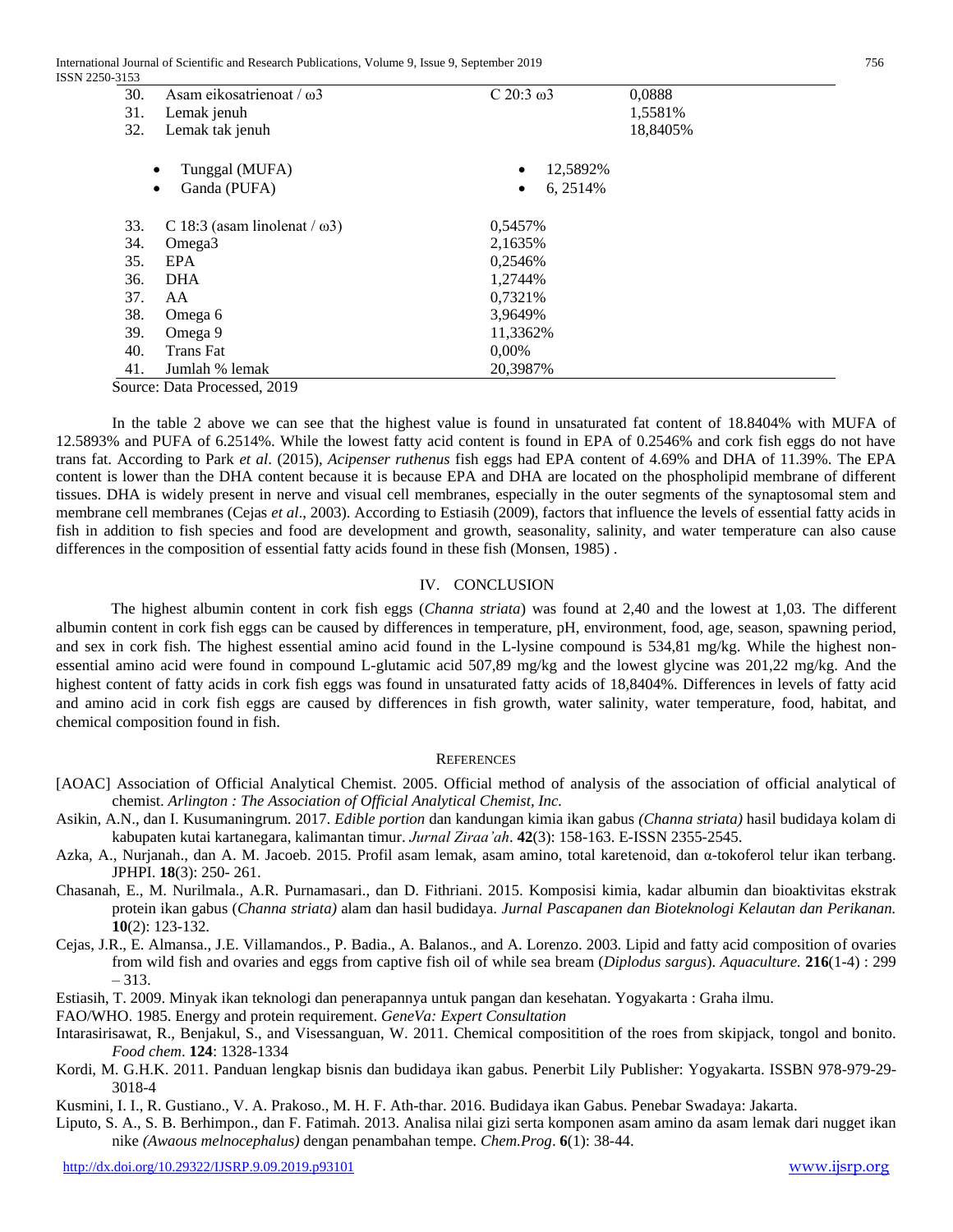International Journal of Scientific and Research Publications, Volume 9, Issue 9, September 2019 756 ISSN 2250-3153

| ر ر د ر |                                      |                       |          |
|---------|--------------------------------------|-----------------------|----------|
| 30.     | Asam eikosatrienoat / $\omega$ 3     | C $20:3 \omega3$      | 0,0888   |
| 31.     | Lemak jenuh                          |                       | 1,5581%  |
| 32.     | Lemak tak jenuh                      |                       | 18,8405% |
|         | Tunggal (MUFA)<br>$\bullet$          | 12,5892%<br>$\bullet$ |          |
|         | Ganda (PUFA)<br>$\bullet$            | 6, 2514%<br>٠         |          |
| 33.     | C 18:3 (asam linolenat / $\omega$ 3) | 0,5457%               |          |
| 34.     | Omega <sub>3</sub>                   | 2,1635%               |          |
| 35.     | EPA                                  | 0,2546%               |          |
| 36.     | <b>DHA</b>                           | 1,2744%               |          |
| 37.     | AA                                   | 0,7321\%              |          |
| 38.     | Omega 6                              | 3,9649%               |          |
| 39.     | Omega 9                              | 11,3362%              |          |
| 40.     | Trans Fat                            | $0.00\%$              |          |
| 41.     | Jumlah % lemak                       | 20,3987%              |          |

Source: Data Processed, 2019

In the table 2 above we can see that the highest value is found in unsaturated fat content of 18.8404% with MUFA of 12.5893% and PUFA of 6.2514%. While the lowest fatty acid content is found in EPA of 0.2546% and cork fish eggs do not have trans fat. According to Park *et al*. (2015), *Acipenser ruthenus* fish eggs had EPA content of 4.69% and DHA of 11.39%. The EPA content is lower than the DHA content because it is because EPA and DHA are located on the phospholipid membrane of different tissues. DHA is widely present in nerve and visual cell membranes, especially in the outer segments of the synaptosomal stem and membrane cell membranes (Cejas *et al*., 2003). According to Estiasih (2009), factors that influence the levels of essential fatty acids in fish in addition to fish species and food are development and growth, seasonality, salinity, and water temperature can also cause differences in the composition of essential fatty acids found in these fish (Monsen, 1985) .

#### IV. CONCLUSION

The highest albumin content in cork fish eggs (*Channa striata*) was found at 2,40 and the lowest at 1,03. The different albumin content in cork fish eggs can be caused by differences in temperature, pH, environment, food, age, season, spawning period, and sex in cork fish. The highest essential amino acid found in the L-lysine compound is 534,81 mg/kg. While the highest nonessential amino acid were found in compound L-glutamic acid 507,89 mg/kg and the lowest glycine was 201,22 mg/kg. And the highest content of fatty acids in cork fish eggs was found in unsaturated fatty acids of 18,8404%. Differences in levels of fatty acid and amino acid in cork fish eggs are caused by differences in fish growth, water salinity, water temperature, food, habitat, and chemical composition found in fish.

#### **REFERENCES**

- [AOAC] Association of Official Analytical Chemist. 2005. Official method of analysis of the association of official analytical of chemist. *Arlington : The Association of Official Analytical Chemist, Inc.*
- Asikin, A.N., dan I. Kusumaningrum. 2017. *Edible portion* dan kandungan kimia ikan gabus *(Channa striata)* hasil budidaya kolam di kabupaten kutai kartanegara, kalimantan timur. *Jurnal Ziraa'ah*. **42**(3): 158-163. E-ISSN 2355-2545.
- Azka, A., Nurjanah., dan A. M. Jacoeb. 2015. Profil asam lemak, asam amino, total karetenoid, dan α-tokoferol telur ikan terbang. JPHPI. **18**(3): 250- 261.
- Chasanah, E., M. Nurilmala., A.R. Purnamasari., dan D. Fithriani. 2015. Komposisi kimia, kadar albumin dan bioaktivitas ekstrak protein ikan gabus (*Channa striata)* alam dan hasil budidaya. *Jurnal Pascapanen dan Bioteknologi Kelautan dan Perikanan.* **10**(2): 123-132.
- Cejas, J.R., E. Almansa., J.E. Villamandos., P. Badia., A. Balanos., and A. Lorenzo. 2003. Lipid and fatty acid composition of ovaries from wild fish and ovaries and eggs from captive fish oil of while sea bream (*Diplodus sargus*). *Aquaculture.* **216**(1-4) : 299 – 313.
- Estiasih, T. 2009. Minyak ikan teknologi dan penerapannya untuk pangan dan kesehatan. Yogyakarta : Graha ilmu.
- FAO/WHO. 1985. Energy and protein requirement. *GeneVa: Expert Consultation*
- Intarasirisawat, R., Benjakul, S., and Visessanguan, W. 2011. Chemical compositition of the roes from skipjack, tongol and bonito. *Food chem*. **124**: 1328-1334
- Kordi, M. G.H.K. 2011. Panduan lengkap bisnis dan budidaya ikan gabus. Penerbit Lily Publisher: Yogyakarta. ISSBN 978-979-29- 3018-4
- Kusmini, I. I., R. Gustiano., V. A. Prakoso., M. H. F. Ath-thar. 2016. Budidaya ikan Gabus. Penebar Swadaya: Jakarta.
- Liputo, S. A., S. B. Berhimpon., dan F. Fatimah. 2013. Analisa nilai gizi serta komponen asam amino da asam lemak dari nugget ikan nike *(Awaous melnocephalus)* dengan penambahan tempe. *Chem.Prog*. **6**(1): 38-44.